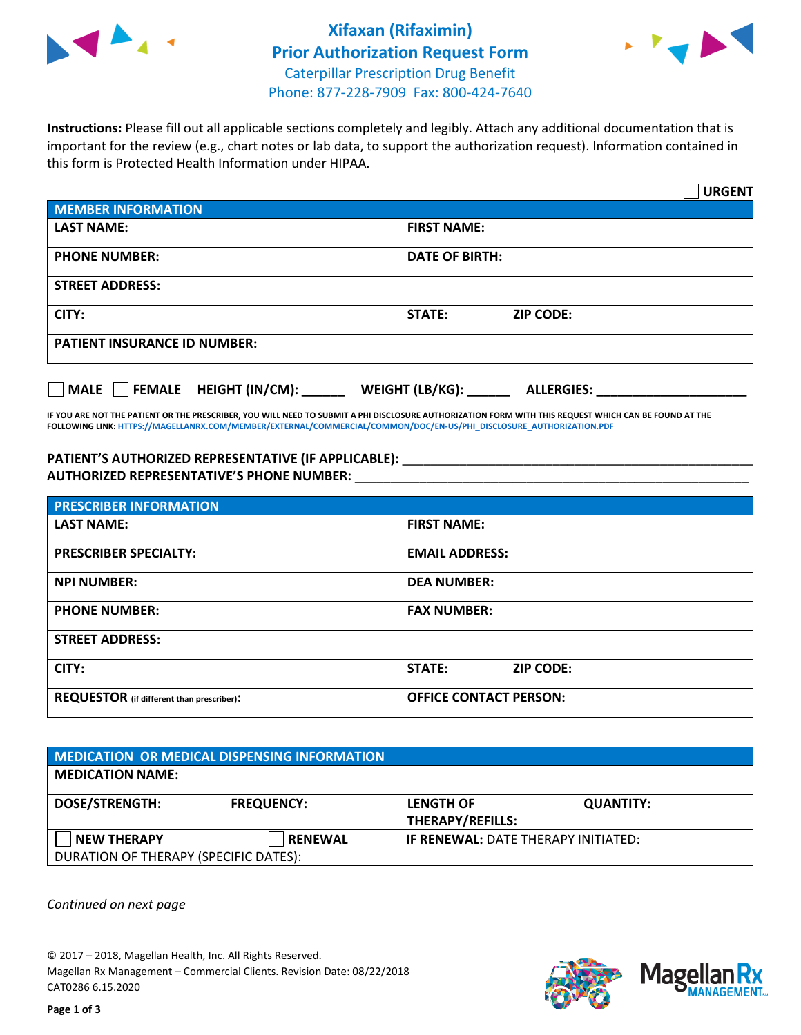



**Instructions:** Please fill out all applicable sections completely and legibly. Attach any additional documentation that is important for the review (e.g., chart notes or lab data, to support the authorization request). Information contained in this form is Protected Health Information under HIPAA.

|                                     |                                        | <b>URGENT</b> |  |  |
|-------------------------------------|----------------------------------------|---------------|--|--|
| <b>MEMBER INFORMATION</b>           |                                        |               |  |  |
| <b>LAST NAME:</b>                   | <b>FIRST NAME:</b>                     |               |  |  |
| <b>PHONE NUMBER:</b>                | <b>DATE OF BIRTH:</b>                  |               |  |  |
| <b>STREET ADDRESS:</b>              |                                        |               |  |  |
| CITY:                               | <b>ZIP CODE:</b><br>STATE:             |               |  |  |
| <b>PATIENT INSURANCE ID NUMBER:</b> |                                        |               |  |  |
| FEMALE HEIGHT (IN/CM):<br>  MALE    | WEIGHT (LB/KG): _<br><b>ALLERGIES:</b> |               |  |  |

**IF YOU ARE NOT THE PATIENT OR THE PRESCRIBER, YOU WILL NEED TO SUBMIT A PHI DISCLOSURE AUTHORIZATION FORM WITH THIS REQUEST WHICH CAN BE FOUND AT THE FOLLOWING LINK[: HTTPS://MAGELLANRX.COM/MEMBER/EXTERNAL/COMMERCIAL/COMMON/DOC/EN-US/PHI\\_DISCLOSURE\\_AUTHORIZATION.PDF](https://magellanrx.com/member/external/commercial/common/doc/en-us/PHI_Disclosure_Authorization.pdf)**

PATIENT'S AUTHORIZED REPRESENTATIVE (IF APPLICABLE): \_\_\_\_\_\_\_\_\_\_\_\_\_\_\_\_\_\_\_\_\_\_\_\_\_\_\_ **AUTHORIZED REPRESENTATIVE'S PHONE NUMBER:** \_\_\_\_\_\_\_\_\_\_\_\_\_\_\_\_\_\_\_\_\_\_\_\_\_\_\_\_\_\_\_\_\_\_\_\_\_\_\_\_\_\_\_\_\_\_\_\_\_\_\_\_\_\_\_

| <b>PRESCRIBER INFORMATION</b>             |                                   |  |  |  |
|-------------------------------------------|-----------------------------------|--|--|--|
| <b>LAST NAME:</b>                         | <b>FIRST NAME:</b>                |  |  |  |
| <b>PRESCRIBER SPECIALTY:</b>              | <b>EMAIL ADDRESS:</b>             |  |  |  |
| <b>NPI NUMBER:</b>                        | <b>DEA NUMBER:</b>                |  |  |  |
| <b>PHONE NUMBER:</b>                      | <b>FAX NUMBER:</b>                |  |  |  |
| <b>STREET ADDRESS:</b>                    |                                   |  |  |  |
| CITY:                                     | <b>STATE:</b><br><b>ZIP CODE:</b> |  |  |  |
| REQUESTOR (if different than prescriber): | <b>OFFICE CONTACT PERSON:</b>     |  |  |  |

| <b>MEDICATION OR MEDICAL DISPENSING INFORMATION</b> |                   |                                            |                  |  |  |
|-----------------------------------------------------|-------------------|--------------------------------------------|------------------|--|--|
| <b>MEDICATION NAME:</b>                             |                   |                                            |                  |  |  |
| <b>DOSE/STRENGTH:</b>                               | <b>FREQUENCY:</b> | <b>LENGTH OF</b>                           | <b>QUANTITY:</b> |  |  |
|                                                     |                   | <b>THERAPY/REFILLS:</b>                    |                  |  |  |
| <b>NEW THERAPY</b>                                  | <b>RENEWAL</b>    | <b>IF RENEWAL: DATE THERAPY INITIATED:</b> |                  |  |  |
| DURATION OF THERAPY (SPECIFIC DATES):               |                   |                                            |                  |  |  |

*Continued on next page*

© 2017 – 2018, Magellan Health, Inc. All Rights Reserved. Magellan Rx Management – Commercial Clients. Revision Date: 08/22/2018 CAT0286 6.15.2020



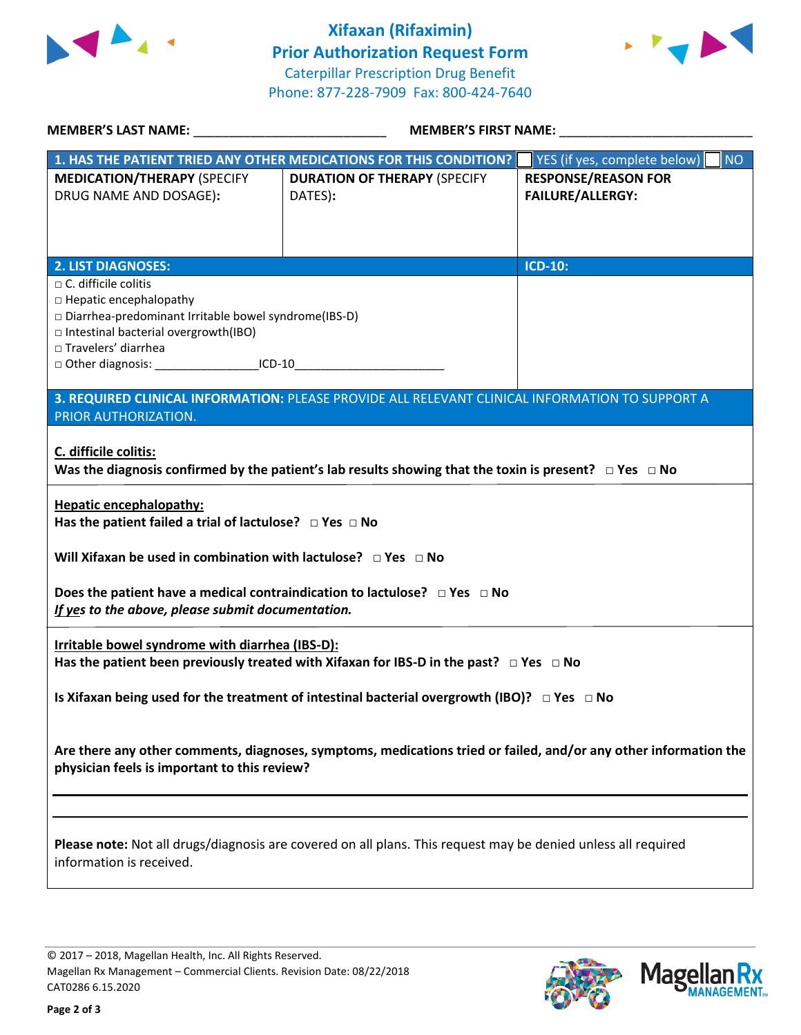

**Xifaxan (Rifaximin) Prior Authorization Request Form** Caterpillar Prescription Drug Benefit Phone: 877-228-7909 Fax: 800-424-7640



| <b>MEMBER'S LAST NAME:</b> NAME                                                                                                                                                                                                                                                                                                                                                                                                                                          | <b>MEMBER'S FIRST NAME:</b>                                        |                                                       |  |  |  |
|--------------------------------------------------------------------------------------------------------------------------------------------------------------------------------------------------------------------------------------------------------------------------------------------------------------------------------------------------------------------------------------------------------------------------------------------------------------------------|--------------------------------------------------------------------|-------------------------------------------------------|--|--|--|
|                                                                                                                                                                                                                                                                                                                                                                                                                                                                          | 1. HAS THE PATIENT TRIED ANY OTHER MEDICATIONS FOR THIS CONDITION? | YES (if yes, complete below)<br>NO                    |  |  |  |
| <b>MEDICATION/THERAPY (SPECIFY</b><br>DRUG NAME AND DOSAGE):                                                                                                                                                                                                                                                                                                                                                                                                             | <b>DURATION OF THERAPY (SPECIFY</b><br>DATES):                     | <b>RESPONSE/REASON FOR</b><br><b>FAILURE/ALLERGY:</b> |  |  |  |
| <b>2. LIST DIAGNOSES:</b>                                                                                                                                                                                                                                                                                                                                                                                                                                                |                                                                    | <b>ICD-10:</b>                                        |  |  |  |
| $\Box$ C. difficile colitis<br>□ Hepatic encephalopathy<br>□ Diarrhea-predominant Irritable bowel syndrome(IBS-D)<br>$\Box$ Intestinal bacterial overgrowth(IBO)<br>□ Travelers' diarrhea                                                                                                                                                                                                                                                                                |                                                                    |                                                       |  |  |  |
| 3. REQUIRED CLINICAL INFORMATION: PLEASE PROVIDE ALL RELEVANT CLINICAL INFORMATION TO SUPPORT A<br>PRIOR AUTHORIZATION.                                                                                                                                                                                                                                                                                                                                                  |                                                                    |                                                       |  |  |  |
| C. difficile colitis:<br>Was the diagnosis confirmed by the patient's lab results showing that the toxin is present? $\Box$ Yes $\Box$ No<br><b>Hepatic encephalopathy:</b><br>Has the patient failed a trial of lactulose? $\Box$ Yes $\Box$ No<br>Will Xifaxan be used in combination with lactulose? $\Box$ Yes $\Box$ No<br>Does the patient have a medical contraindication to lactulose? $\Box$ Yes $\Box$ No<br>If yes to the above, please submit documentation. |                                                                    |                                                       |  |  |  |
| Irritable bowel syndrome with diarrhea (IBS-D):<br>Has the patient been previously treated with Xifaxan for IBS-D in the past? $\Box$ Yes $\Box$ No                                                                                                                                                                                                                                                                                                                      |                                                                    |                                                       |  |  |  |
| Is Xifaxan being used for the treatment of intestinal bacterial overgrowth (IBO)? $\Box$ Yes $\Box$ No                                                                                                                                                                                                                                                                                                                                                                   |                                                                    |                                                       |  |  |  |
| Are there any other comments, diagnoses, symptoms, medications tried or failed, and/or any other information the<br>physician feels is important to this review?                                                                                                                                                                                                                                                                                                         |                                                                    |                                                       |  |  |  |
| Please note: Not all drugs/diagnosis are covered on all plans. This request may be denied unless all required<br>information is received.                                                                                                                                                                                                                                                                                                                                |                                                                    |                                                       |  |  |  |

© 2017 – 2018, Magellan Health, Inc. All Rights Reserved. Magellan Rx Management – Commercial Clients. Revision Date: 08/22/2018 CAT0286 6.15.2020